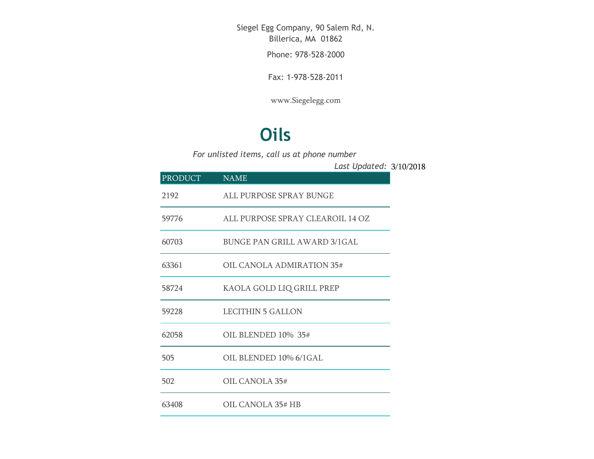Siegel Egg Company, 90 Salem Rd, N. Billerica, MA 01862

Phone: 978-528-2000

Fax: 1-978-528-2011

[www.Siegelegg.com](http://www.siegelegg.com/)

## **Oils**

*For unlisted items, call us at phone number*

3/10/2018 *Last Updated:*

| <b>PRODUCT</b> | <b>NAME</b>                         |
|----------------|-------------------------------------|
| 2192           | ALL PURPOSE SPRAY BUNGE             |
| 59776          | ALL PURPOSE SPRAY CLEAROIL 14 OZ    |
| 60703          | <b>BUNGE PAN GRILL AWARD 3/1GAL</b> |
| 63361          | OIL CANOLA ADMIRATION 35#           |
| 58724          | KAOLA GOLD LIQ GRILL PREP           |
| 59228          | <b>LECITHIN 5 GALLON</b>            |
| 62058          | OIL BLENDED 10% 35#                 |
| 505            | OIL BLENDED 10% 6/1GAL              |
| 502            | OIL CANOLA 35#                      |
| 63408          | OIL CANOLA 35# HB                   |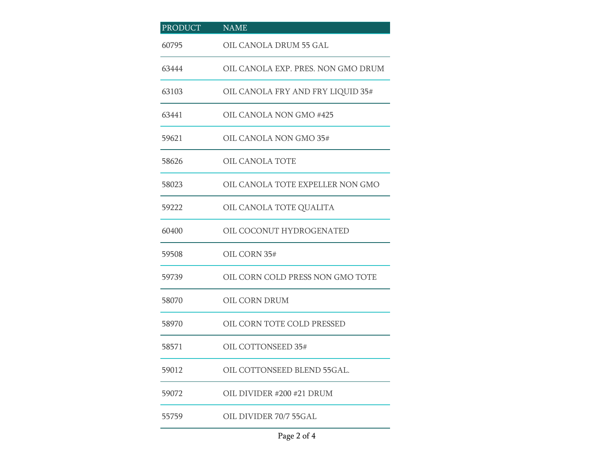| <b>PRODUCT</b> | <b>NAME</b>                        |
|----------------|------------------------------------|
| 60795          | OIL CANOLA DRUM 55 GAL             |
| 63444          | OIL CANOLA EXP. PRES. NON GMO DRUM |
| 63103          | OIL CANOLA FRY AND FRY LIQUID 35#  |
| 63441          | OIL CANOLA NON GMO #425            |
| 59621          | OIL CANOLA NON GMO 35#             |
| 58626          | OIL CANOLA TOTE                    |
| 58023          | OIL CANOLA TOTE EXPELLER NON GMO   |
| 59222          | OIL CANOLA TOTE QUALITA            |
| 60400          | OIL COCONUT HYDROGENATED           |
| 59508          | OIL CORN 35#                       |
| 59739          | OIL CORN COLD PRESS NON GMO TOTE   |
| 58070          | OIL CORN DRUM                      |
| 58970          | OIL CORN TOTE COLD PRESSED         |
| 58571          | OIL COTTONSEED 35#                 |
| 59012          | OIL COTTONSEED BLEND 55GAL.        |
| 59072          | OIL DIVIDER #200 #21 DRUM          |
| 55759          | OIL DIVIDER 70/7 55GAL             |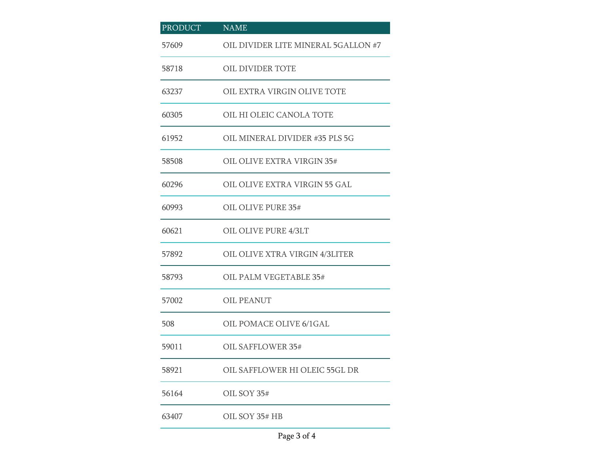| <b>PRODUCT</b> | <b>NAME</b>                         |
|----------------|-------------------------------------|
| 57609          | OIL DIVIDER LITE MINERAL 5GALLON #7 |
| 58718          | OIL DIVIDER TOTE                    |
| 63237          | OIL EXTRA VIRGIN OLIVE TOTE         |
| 60305          | OIL HI OLEIC CANOLA TOTE            |
| 61952          | OIL MINERAL DIVIDER #35 PLS 5G      |
| 58508          | OIL OLIVE EXTRA VIRGIN 35#          |
| 60296          | OIL OLIVE EXTRA VIRGIN 55 GAL       |
| 60993          | OIL OLIVE PURE 35#                  |
| 60621          | OIL OLIVE PURE 4/3LT                |
| 57892          | OIL OLIVE XTRA VIRGIN 4/3LITER      |
| 58793          | OIL PALM VEGETABLE 35#              |
| 57002          | <b>OIL PEANUT</b>                   |
| 508            | OIL POMACE OLIVE 6/1GAL             |
| 59011          | OIL SAFFLOWER 35#                   |
| 58921          | OIL SAFFLOWER HI OLEIC 55GL DR      |
| 56164          | OIL SOY 35#                         |
| 63407          | OIL SOY 35# HB                      |